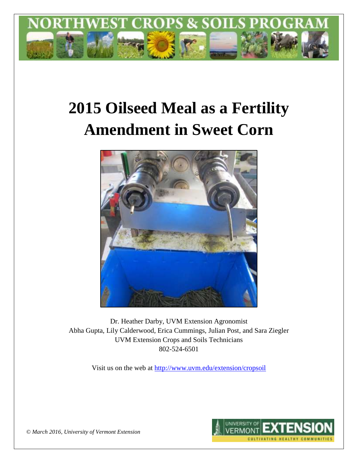

# **2015 Oilseed Meal as a Fertility Amendment in Sweet Corn**



Dr. Heather Darby, UVM Extension Agronomist Abha Gupta, Lily Calderwood, Erica Cummings, Julian Post, and Sara Ziegler UVM Extension Crops and Soils Technicians 802-524-6501

Visit us on the web at <http://www.uvm.edu/extension/cropsoil>



*© March 2016, University of Vermont Extension*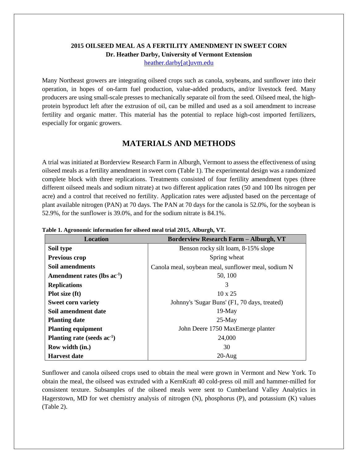## **2015 OILSEED MEAL AS A FERTILITY AMENDMENT IN SWEET CORN Dr. Heather Darby, University of Vermont Extension**

[heather.darby\[at\]uvm.edu](mailto:heather.darby@uvm.edu?subject=2013%20Oilseed%20Meal%20and%20Sweet%20Corn)

Many Northeast growers are integrating oilseed crops such as canola, soybeans, and sunflower into their operation, in hopes of on-farm fuel production, value-added products, and/or livestock feed. Many producers are using small-scale presses to mechanically separate oil from the seed. Oilseed meal, the highprotein byproduct left after the extrusion of oil, can be milled and used as a soil amendment to increase fertility and organic matter. This material has the potential to replace high-cost imported fertilizers, especially for organic growers.

## **MATERIALS AND METHODS**

A trial was initiated at Borderview Research Farm in Alburgh, Vermont to assess the effectiveness of using oilseed meals as a fertility amendment in sweet corn (Table 1). The experimental design was a randomized complete block with three replications. Treatments consisted of four fertility amendment types (three different oilseed meals and sodium nitrate) at two different application rates (50 and 100 lbs nitrogen per acre) and a control that received no fertility. Application rates were adjusted based on the percentage of plant available nitrogen (PAN) at 70 days. The PAN at 70 days for the canola is 52.0%, for the soybean is 52.9%, for the sunflower is 39.0%, and for the sodium nitrate is 84.1%.

| <b>Location</b>                  | <b>Borderview Research Farm – Alburgh, VT</b>       |  |  |  |
|----------------------------------|-----------------------------------------------------|--|--|--|
| Soil type                        | Benson rocky silt loam, 8-15% slope                 |  |  |  |
| <b>Previous crop</b>             | Spring wheat                                        |  |  |  |
| Soil amendments                  | Canola meal, soybean meal, sunflower meal, sodium N |  |  |  |
| Amendment rates (lbs $ac^{-1}$ ) | 50, 100                                             |  |  |  |
| <b>Replications</b>              | 3                                                   |  |  |  |
| Plot size (ft)                   | $10 \times 25$                                      |  |  |  |
| <b>Sweet corn variety</b>        | Johnny's 'Sugar Buns' (F1, 70 days, treated)        |  |  |  |
| Soil amendment date              | $19-May$                                            |  |  |  |
| <b>Planting date</b>             | $25-May$                                            |  |  |  |
| <b>Planting equipment</b>        | John Deere 1750 MaxEmerge planter                   |  |  |  |
| Planting rate (seeds $ac^{-1}$ ) | 24,000                                              |  |  |  |
| Row width (in.)                  | 30                                                  |  |  |  |
| <b>Harvest date</b>              | $20$ -Aug                                           |  |  |  |

**Table 1. Agronomic information for oilseed meal trial 2015, Alburgh, VT.**

Sunflower and canola oilseed crops used to obtain the meal were grown in Vermont and New York. To obtain the meal, the oilseed was extruded with a KernKraft 40 cold-press oil mill and hammer-milled for consistent texture. Subsamples of the oilseed meals were sent to Cumberland Valley Analytics in Hagerstown, MD for wet chemistry analysis of nitrogen (N), phosphorus (P), and potassium (K) values (Table 2).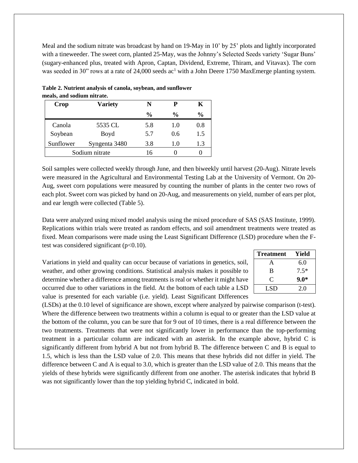Meal and the sodium nitrate was broadcast by hand on 19-May in 10' by 25' plots and lightly incorporated with a tineweeder. The sweet corn, planted 25-May, was the Johnny's Selected Seeds variety 'Sugar Buns' (sugary-enhanced plus, treated with Apron, Captan, Dividend, Extreme, Thiram, and Vitavax). The corn was seeded in 30" rows at a rate of 24,000 seeds ac<sup>1</sup> with a John Deere 1750 MaxEmerge planting system.

| <b>Crop</b>    | <b>Variety</b> | N             | P             | K             |
|----------------|----------------|---------------|---------------|---------------|
|                |                | $\frac{6}{6}$ | $\frac{0}{0}$ | $\frac{0}{0}$ |
| Canola         | 5535 CL        | 5.8           | 1.0           | 0.8           |
| Soybean        | Boyd           | 5.7           | 0.6           | 1.5           |
| Sunflower      | Syngenta 3480  | 3.8           | 1.0           | 1.3           |
| Sodium nitrate |                | 16            |               |               |

**Table 2. Nutrient analysis of canola, soybean, and sunflower meals, and sodium nitrate.**

Soil samples were collected weekly through June, and then biweekly until harvest (20-Aug). Nitrate levels were measured in the Agricultural and Environmental Testing Lab at the University of Vermont. On 20- Aug, sweet corn populations were measured by counting the number of plants in the center two rows of each plot. Sweet corn was picked by hand on 20-Aug, and measurements on yield, number of ears per plot, and ear length were collected (Table 5).

Data were analyzed using mixed model analysis using the mixed procedure of SAS (SAS Institute, 1999). Replications within trials were treated as random effects, and soil amendment treatments were treated as fixed. Mean comparisons were made using the Least Significant Difference (LSD) procedure when the Ftest was considered significant  $(p<0.10)$ .

Variations in yield and quality can occur because of variations in genetics, soil, weather, and other growing conditions. Statistical analysis makes it possible to determine whether a difference among treatments is real or whether it might have occurred due to other variations in the field. At the bottom of each table a LSD value is presented for each variable (i.e. yield). Least Significant Differences

| <b>Treatment</b> | Yield  |
|------------------|--------|
| А                | 6.0    |
| B                | $7.5*$ |
| C                | $9.0*$ |
| LSD              | 2.0    |

(LSDs) at the 0.10 level of significance are shown, except where analyzed by pairwise comparison (t-test). Where the difference between two treatments within a column is equal to or greater than the LSD value at the bottom of the column, you can be sure that for 9 out of 10 times, there is a real difference between the two treatments. Treatments that were not significantly lower in performance than the top-performing treatment in a particular column are indicated with an asterisk. In the example above, hybrid C is significantly different from hybrid A but not from hybrid B. The difference between C and B is equal to 1.5, which is less than the LSD value of 2.0. This means that these hybrids did not differ in yield. The difference between C and A is equal to 3.0, which is greater than the LSD value of 2.0. This means that the yields of these hybrids were significantly different from one another. The asterisk indicates that hybrid B was not significantly lower than the top yielding hybrid C, indicated in bold.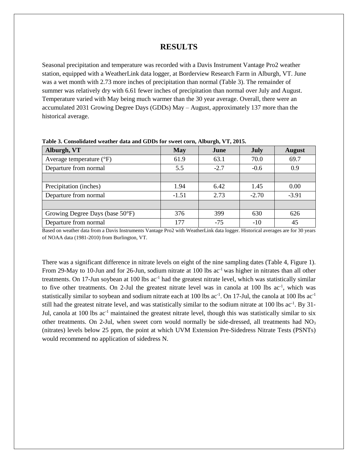#### **RESULTS**

Seasonal precipitation and temperature was recorded with a Davis Instrument Vantage Pro2 weather station, equipped with a WeatherLink data logger, at Borderview Research Farm in Alburgh, VT. June was a wet month with 2.73 more inches of precipitation than normal (Table 3). The remainder of summer was relatively dry with 6.61 fewer inches of precipitation than normal over July and August. Temperature varied with May being much warmer than the 30 year average. Overall, there were an accumulated 2031 Growing Degree Days (GDDs) May – August, approximately 137 more than the historical average.

| Alburgh, VT                       | <b>May</b> | June   | <b>July</b> | <b>August</b> |
|-----------------------------------|------------|--------|-------------|---------------|
| Average temperature $(^{\circ}F)$ | 61.9       | 63.1   | 70.0        | 69.7          |
| Departure from normal             | 5.5        | $-2.7$ | $-0.6$      | 0.9           |
|                                   |            |        |             |               |
| Precipitation (inches)            | 1.94       | 6.42   | 1.45        | 0.00          |
| Departure from normal             | $-1.51$    | 2.73   | $-2.70$     | $-3.91$       |
|                                   |            |        |             |               |
| Growing Degree Days (base 50°F)   | 376        | 399    | 630         | 626           |
| Departure from normal             | 177        | $-75$  | $-10$       | 45            |

**Table 3. Consolidated weather data and GDDs for sweet corn, Alburgh, VT, 2015.**

Based on weather data from a Davis Instruments Vantage Pro2 with WeatherLink data logger. Historical averages are for 30 years of NOAA data (1981-2010) from Burlington, VT.

There was a significant difference in nitrate levels on eight of the nine sampling dates (Table 4, Figure 1). From 29-May to 10-Jun and for 26-Jun, sodium nitrate at 100 lbs ac<sup>-1</sup> was higher in nitrates than all other treatments. On 17-Jun soybean at 100 lbs ac<sup>-1</sup> had the greatest nitrate level, which was statistically similar to five other treatments. On 2-Jul the greatest nitrate level was in canola at 100 lbs ac<sup>-1</sup>, which was statistically similar to soybean and sodium nitrate each at 100 lbs  $ac^{-1}$ . On 17-Jul, the canola at 100 lbs  $ac^{-1}$ still had the greatest nitrate level, and was statistically similar to the sodium nitrate at 100 lbs ac<sup>-1</sup>. By 31-Jul, canola at 100 lbs ac<sup>-1</sup> maintained the greatest nitrate level, though this was statistically similar to six other treatments. On 2-Jul, when sweet corn would normally be side-dressed, all treatments had  $NO<sub>3</sub>$ (nitrates) levels below 25 ppm, the point at which UVM Extension Pre-Sidedress Nitrate Tests (PSNTs) would recommend no application of sidedress N.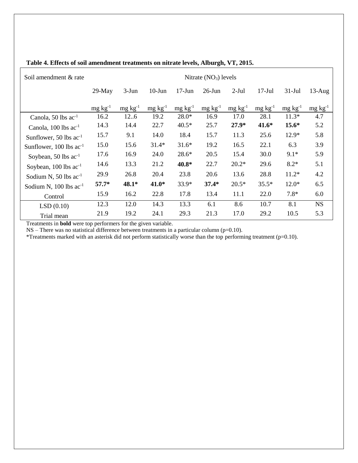| Soil amendment & rate            | Nitrate $(NO3)$ levels |                 |                 |                 |                 |                 |                 |                 |                 |
|----------------------------------|------------------------|-----------------|-----------------|-----------------|-----------------|-----------------|-----------------|-----------------|-----------------|
|                                  | $29$ -May              | $3-Jun$         | $10-J$ un       | $17-Jun$        | $26$ -Jun       | $2-Jul$         | $17-Jul$        | $31-Jul$        | $13$ -Aug       |
|                                  | $mg \, kg^{-1}$        | $mg \, kg^{-1}$ | $mg \, kg^{-1}$ | $mg \, kg^{-1}$ | $mg \, kg^{-1}$ | $mg \, kg^{-1}$ | $mg \, kg^{-1}$ | $mg \, kg^{-1}$ | $mg \, kg^{-1}$ |
| Canola, 50 lbs $ac^{-1}$         | 16.2                   | 126             | 19.2            | $28.0*$         | 16.9            | 17.0            | 28.1            | $11.3*$         | 4.7             |
| Canola, 100 lbs ac <sup>-1</sup> | 14.3                   | 14.4            | 22.7            | $40.5*$         | 25.7            | $27.9*$         | $41.6*$         | $15.6*$         | 5.2             |
| Sunflower, 50 lbs $ac^{-1}$      | 15.7                   | 9.1             | 14.0            | 18.4            | 15.7            | 11.3            | 25.6            | $12.9*$         | 5.8             |
| Sunflower, $100$ lbs $ac^{-1}$   | 15.0                   | 15.6            | $31.4*$         | $31.6*$         | 19.2            | 16.5            | 22.1            | 6.3             | 3.9             |
| Soybean, 50 lbs $ac^{-1}$        | 17.6                   | 16.9            | 24.0            | $28.6*$         | 20.5            | 15.4            | 30.0            | $9.1*$          | 5.9             |
| Soybean, $100$ lbs $ac^{-1}$     | 14.6                   | 13.3            | 21.2            | 40.8*           | 22.7            | $20.2*$         | 29.6            | $8.2*$          | 5.1             |
| Sodium N, 50 lbs $ac^{-1}$       | 29.9                   | 26.8            | 20.4            | 23.8            | 20.6            | 13.6            | 28.8            | $11.2*$         | 4.2             |
| Sodium N, $100$ lbs $ac^{-1}$    | $57.7*$                | $48.1*$         | $41.0*$         | 33.9*           | $37.4*$         | $20.5*$         | $35.5*$         | $12.0*$         | 6.5             |
| Control                          | 15.9                   | 16.2            | 22.8            | 17.8            | 13.4            | 11.1            | 22.0            | $7.8*$          | 6.0             |
| LSD(0.10)                        | 12.3                   | 12.0            | 14.3            | 13.3            | 6.1             | 8.6             | 10.7            | 8.1             | <b>NS</b>       |
| Trial mean                       | 21.9                   | 19.2            | 24.1            | 29.3            | 21.3            | 17.0            | 29.2            | 10.5            | 5.3             |

#### **Table 4. Effects of soil amendment treatments on nitrate levels, Alburgh, VT, 2015.**

Treatments in **bold** were top performers for the given variable.

 $NS$  – There was no statistical difference between treatments in a particular column ( $p=0.10$ ).

\*Treatments marked with an asterisk did not perform statistically worse than the top performing treatment (p=0.10).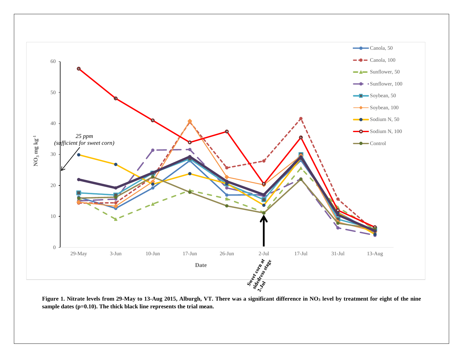

**Figure 1. Nitrate levels from 29-May to 13-Aug 2015, Alburgh, VT. There was a significant difference in NO<sup>3</sup> level by treatment for eight of the nine sample dates (p=0.10). The thick black line represents the trial mean.**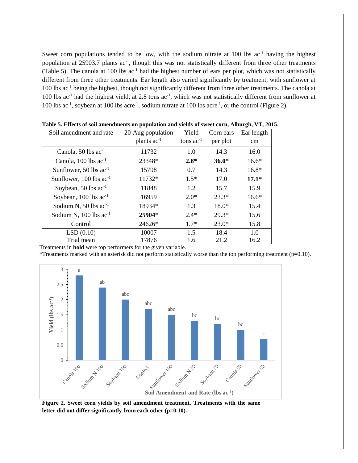Sweet corn populations tended to be low, with the sodium nitrate at 100 lbs ac<sup>-1</sup> having the highest population at 25903.7 plants ac<sup>-1</sup>, though this was not statistically different from three other treatments (Table 5). The canola at 100 lbs ac-1 had the highest number of ears per plot, which was not statistically different from three other treatments. Ear length also varied significantly by treatment, with sunflower at 100 lbs ac<sup>-1</sup> being the highest, though not significantly different from three other treatments. The canola at 100 lbs ac<sup>-1</sup> had the highest yield, at 2.8 tons ac<sup>-1</sup>, which was not statistically different from sunflower at 100 lbs ac<sup>-1</sup>, soybean at 100 lbs acre<sup>-1</sup>, sodium nitrate at 100 lbs acre<sup>-1</sup>, or the control (Figure 2).

| Soil amendment and rate       | 20-Aug population | Yield          | Corn ears | Ear length |
|-------------------------------|-------------------|----------------|-----------|------------|
|                               | plants $ac^{-1}$  | tons $ac^{-1}$ | per plot  | cm         |
| Canola, 50 lbs $ac^{-1}$      | 11732             | 1.0            | 14.3      | 16.0       |
| Canola, $100$ lbs $ac^{-1}$   | 23348*            | $2.8*$         | $36.0*$   | $16.6*$    |
| Sunflower, 50 lbs $ac^{-1}$   | 15798             | 0.7            | 14.3      | $16.8*$    |
| Sunflower, 100 lbs $ac^{-1}$  | 11732*            | $1.5*$         | 17.0      | $17.1*$    |
| Soybean, 50 lbs $ac^{-1}$     | 11848             | 1.2            | 15.7      | 15.9       |
| Soybean, $100$ lbs $ac^{-1}$  | 16959             | $2.0*$         | $23.3*$   | $16.6*$    |
| Sodium N, 50 lbs $ac^{-1}$    | 18934*            | 1.3            | 18.0*     | 15.4       |
| Sodium N, $100$ lbs $ac^{-1}$ | 25904*            | $2.4*$         | $29.3*$   | 15.6       |
| Control                       | 24626*            | $1.7*$         | $23.0*$   | 15.8       |
| LSD(0.10)                     | 10007             | 1.5            | 18.4      | 1.0        |
| Trial mean                    | 17876             | 1.6            | 21.2      | 16.2       |

|  |  |  |  |  | Table 5. Effects of soil amendments on population and yields of sweet corn, Alburgh, VT, 2015. |  |  |
|--|--|--|--|--|------------------------------------------------------------------------------------------------|--|--|
|--|--|--|--|--|------------------------------------------------------------------------------------------------|--|--|

Treatments in **bold** were top performers for the given variable.

\*Treatments marked with an asterisk did not perform statistically worse than the top performing treatment ( $p=0.10$ ).



**Figure 2. Sweet corn yields by soil amendment treatment. Treatments with the same letter did not differ significantly from each other (p=0.10).**